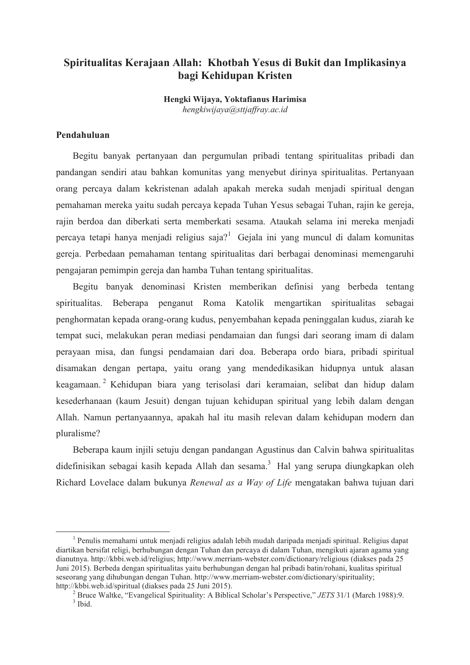# Spiritualitas Kerajaan Allah: Khotbah Yesus di Bukit dan Implikasinya bagi Kehidupan Kristen

Hengki Wijaya, Yoktafianus Harimisa hengkiwijaya@sttiaffray.ac.id

## Pendahuluan

Begitu banyak pertanyaan dan pergumulan pribadi tentang spiritualitas pribadi dan pandangan sendiri atau bahkan komunitas yang menyebut dirinya spiritualitas. Pertanyaan orang percaya dalam kekristenan adalah apakah mereka sudah menjadi spiritual dengan pemahaman mereka yaitu sudah percaya kepada Tuhan Yesus sebagai Tuhan, rajin ke gereja, rajin berdoa dan diberkati serta memberkati sesama. Ataukah selama ini mereka menjadi percaya tetapi hanya menjadi religius saja?<sup>1</sup> Gejala ini yang muncul di dalam komunitas gereja. Perbedaan pemahaman tentang spiritualitas dari berbagai denominasi memengaruhi pengajaran pemimpin gereja dan hamba Tuhan tentang spiritualitas.

Begitu banyak denominasi Kristen memberikan definisi yang berbeda tentang spiritualitas. Beberapa penganut Roma Katolik mengartikan spiritualitas sebagai penghormatan kepada orang-orang kudus, penyembahan kepada peninggalan kudus, ziarah ke tempat suci, melakukan peran mediasi pendamaian dan fungsi dari seorang imam di dalam perayaan misa, dan fungsi pendamaian dari doa. Beberapa ordo biara, pribadi spiritual disamakan dengan pertapa, yaitu orang yang mendedikasikan hidupnya untuk alasan keagamaan.<sup>2</sup> Kehidupan biara yang terisolasi dari keramaian, selibat dan hidup dalam kesederhanaan (kaum Jesuit) dengan tujuan kehidupan spiritual yang lebih dalam dengan Allah. Namun pertanyaannya, apakah hal itu masih relevan dalam kehidupan modern dan pluralisme?

Beberapa kaum injili setuju dengan pandangan Agustinus dan Calvin bahwa spiritualitas didefinisikan sebagai kasih kepada Allah dan sesama.<sup>3</sup> Hal yang serupa diungkapkan oleh Richard Lovelace dalam bukunya Renewal as a Way of Life mengatakan bahwa tujuan dari

 $<sup>1</sup>$  Penulis memahami untuk menjadi religius adalah lebih mudah daripada menjadi spiritual. Religius dapat</sup> diartikan bersifat religi, berhubungan dengan Tuhan dan percaya di dalam Tuhan, mengikuti ajaran agama yang dianutnya. http://kbbi.web.id/religius; http://www.merriam-webster.com/dictionary/religious (diakses pada 25 Juni 2015). Berbeda dengan spiritualitas yaitu berhubungan dengan hal pribadi batin/rohani, kualitas spiritual seseorang yang dihubungan dengan Tuhan. http://www.merriam-webster.com/dictionary/spirituality; http://kbbi.web.id/spiritual (diakses pada 25 Juni 2015).

<sup>&</sup>lt;sup>2</sup> Bruce Waltke, "Evangelical Spirituality: A Biblical Scholar's Perspective," *JETS* 31/1 (March 1988):9.  $3$  Ibid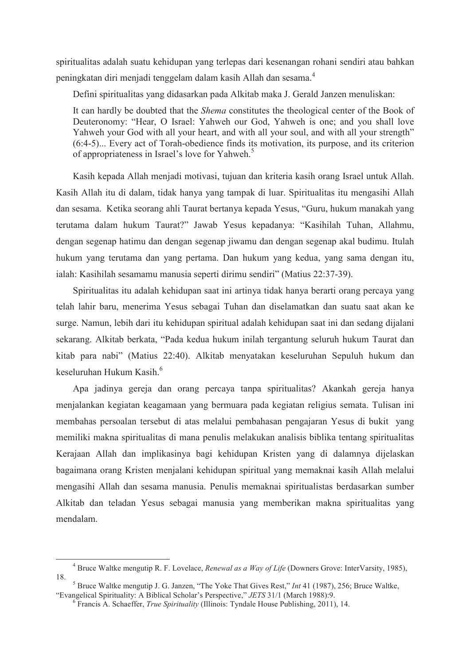spiritualitas adalah suatu kehidupan yang terlepas dari kesenangan rohani sendiri atau bahkan peningkatan diri menjadi tenggelam dalam kasih Allah dan sesama.<sup>4</sup>

Defini spiritualitas yang didasarkan pada Alkitab maka J. Gerald Janzen menuliskan:

It can hardly be doubted that the *Shema* constitutes the theological center of the Book of Deuteronomy: "Hear, O Israel: Yahweh our God, Yahweh is one; and you shall love Yahweh your God with all your heart, and with all your soul, and with all your strength"  $(6.4-5)$ ... Every act of Torah-obedience finds its motivation, its purpose, and its criterion of appropriateness in Israel's love for Yahweh.<sup>5</sup>

Kasih kepada Allah menjadi motivasi, tujuan dan kriteria kasih orang Israel untuk Allah. Kasih Allah itu di dalam, tidak hanya yang tampak di luar. Spiritualitas itu mengasihi Allah dan sesama. Ketika seorang ahli Taurat bertanya kepada Yesus, "Guru, hukum manakah yang terutama dalam hukum Taurat?" Jawab Yesus kepadanya: "Kasihilah Tuhan, Allahmu, dengan segenap hatimu dan dengan segenap jiwamu dan dengan segenap akal budimu. Itulah hukum yang terutama dan yang pertama. Dan hukum yang kedua, yang sama dengan itu, ialah: Kasihilah sesamamu manusia seperti dirimu sendiri" (Matius 22:37-39).

Spiritualitas itu adalah kehidupan saat ini artinya tidak hanya berarti orang percaya yang telah lahir baru, menerima Yesus sebagai Tuhan dan diselamatkan dan suatu saat akan ke surge. Namun, lebih dari itu kehidupan spiritual adalah kehidupan saat ini dan sedang dijalani sekarang. Alkitab berkata, "Pada kedua hukum inilah tergantung seluruh hukum Taurat dan kitab para nabi" (Matius 22:40). Alkitab menyatakan keseluruhan Sepuluh hukum dan keseluruhan Hukum Kasih.<sup>6</sup>

Apa jadinya gereja dan orang percaya tanpa spiritualitas? Akankah gereja hanya menjalankan kegiatan keagamaan yang bermuara pada kegiatan religius semata. Tulisan ini membahas persoalan tersebut di atas melalui pembahasan pengajaran Yesus di bukit yang memiliki makna spiritualitas di mana penulis melakukan analisis biblika tentang spiritualitas Kerajaan Allah dan implikasinya bagi kehidupan Kristen yang di dalamnya dijelaskan bagaimana orang Kristen menjalani kehidupan spiritual yang memaknai kasih Allah melalui mengasihi Allah dan sesama manusia. Penulis memaknai spiritualistas berdasarkan sumber Alkitab dan teladan Yesus sebagai manusia yang memberikan makna spiritualitas yang mendalam

<sup>&</sup>lt;sup>4</sup> Bruce Waltke mengutip R. F. Lovelace, *Renewal as a Way of Life* (Downers Grove: InterVarsity, 1985), 18.

<sup>&</sup>lt;sup>5</sup> Bruce Waltke mengutip J. G. Janzen, "The Yoke That Gives Rest," Int 41 (1987), 256; Bruce Waltke, "Evangelical Spirituality: A Biblical Scholar's Perspective," JETS 31/1 (March 1988):9.

 $6$  Francis A. Schaeffer, *True Spirituality* (Illinois: Tyndale House Publishing, 2011), 14.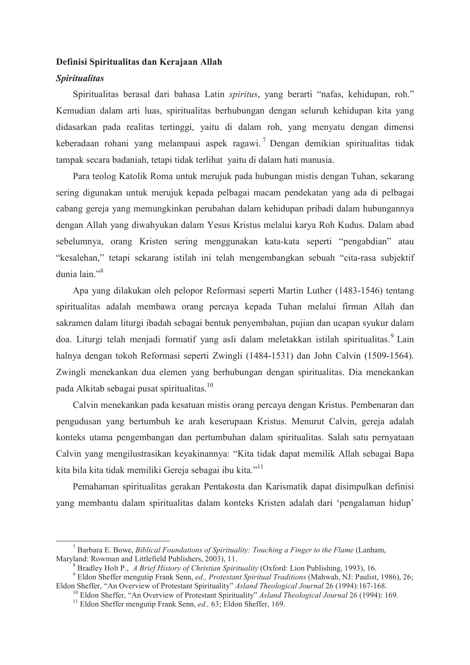# Definisi Spiritualitas dan Kerajaan Allah **Spiritualitas**

Spiritualitas berasal dari bahasa Latin *spiritus*, yang berarti "nafas, kehidupan, roh." Kemudian dalam arti luas, spiritualitas berhubungan dengan seluruh kehidupan kita yang didasarkan pada realitas tertinggi, yaitu di dalam roh, yang menyatu dengan dimensi keberadaan rohani vang melampaui aspek ragawi.<sup>7</sup> Dengan demikian spiritualitas tidak tampak secara badaniah, tetapi tidak terlihat yaitu di dalam hati manusia.

Para teolog Katolik Roma untuk merujuk pada hubungan mistis dengan Tuhan, sekarang sering digunakan untuk merujuk kepada pelbagai macam pendekatan yang ada di pelbagai cabang gereja yang memungkinkan perubahan dalam kehidupan pribadi dalam hubungannya dengan Allah yang diwahyukan dalam Yesus Kristus melalui karya Roh Kudus. Dalam abad sebelumnya, orang Kristen sering menggunakan kata-kata seperti "pengabdian" atau "kesalehan," tetapi sekarang istilah ini telah mengembangkan sebuah "cita-rasa subjektif" dunia lain<sup>"8</sup>

Apa yang dilakukan oleh pelopor Reformasi seperti Martin Luther (1483-1546) tentang spiritualitas adalah membawa orang percaya kepada Tuhan melalui firman Allah dan sakramen dalam liturgi ibadah sebagai bentuk penyembahan, pujian dan ucapan syukur dalam doa. Liturgi telah menjadi formatif yang asli dalam meletakkan istilah spiritualitas.<sup>9</sup> Lain halnya dengan tokoh Reformasi seperti Zwingli (1484-1531) dan John Calvin (1509-1564). Zwingli menekankan dua elemen yang berhubungan dengan spiritualitas. Dia menekankan pada Alkitab sebagai pusat spiritualitas.<sup>10</sup>

Calvin menekankan pada kesatuan mistis orang percaya dengan Kristus. Pembenaran dan pengudusan yang bertumbuh ke arah keserupaan Kristus. Menurut Calvin, gereja adalah konteks utama pengembangan dan pertumbuhan dalam spiritualitas. Salah satu pernyataan Calvin yang mengilustrasikan keyakinannya: "Kita tidak dapat memilik Allah sebagai Bapa kita bila kita tidak memiliki Gereja sebagai ibu kita."<sup>11</sup>

Pemahaman spiritualitas gerakan Pentakosta dan Karismatik dapat disimpulkan definisi yang membantu dalam spiritualitas dalam konteks Kristen adalah dari 'pengalaman hidup'

 $^7$  Barbara E. Bowe, *Biblical Foundations of Spirituality: Touching a Finger to the Flame* (Lanham, Maryland: Rowman and Littlefield Publishers, 2003), 11.

 $\beta$  Bradley Holt P., A Brief History of Christian Spirituality (Oxford: Lion Publishing, 1993), 16.

<sup>&</sup>lt;sup>9</sup> Eldon Sheffer mengutip Frank Senn, ed., Protestant Spiritual Traditions (Mahwah, NJ: Paulist, 1986), 26; Eldon Sheffer, "An Overview of Protestant Spirituality" Asland Theological Journal 26 (1994):167-168.

 $^{\circ}$  Eldon Sheffer, "An Overview of Protestant Spirituality" *Asland Theological Journal* 26 (1994): 169.

<sup>&</sup>lt;sup>11</sup> Eldon Sheffer mengutip Frank Senn, *ed.*, 63; Eldon Sheffer, 169.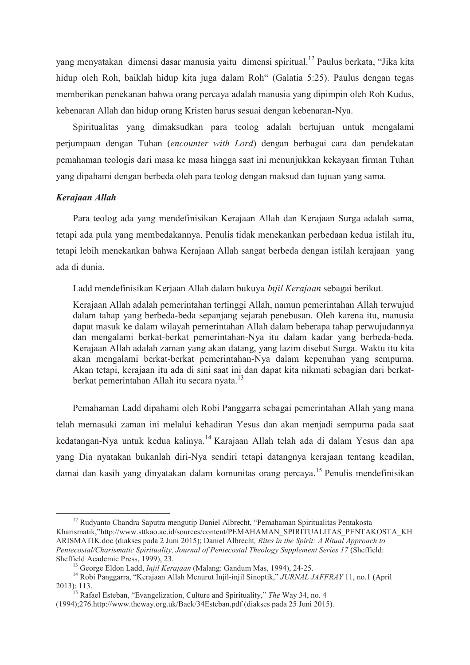vang menyatakan dimensi dasar manusia yaitu dimensi spiritual.<sup>12</sup> Paulus berkata, "Jika kita hidup oleh Roh, baiklah hidup kita juga dalam Roh" (Galatia 5:25). Paulus dengan tegas memberikan penekanan bahwa orang percaya adalah manusia yang dipimpin oleh Roh Kudus, kebenaran Allah dan hidup orang Kristen harus sesuai dengan kebenaran-Nya.

Spiritualitas yang dimaksudkan para teolog adalah bertujuan untuk mengalami perjumpaan dengan Tuhan (encounter with Lord) dengan berbagai cara dan pendekatan pemahaman teologis dari masa ke masa hingga saat ini menunjukkan kekayaan firman Tuhan yang dipahami dengan berbeda oleh para teolog dengan maksud dan tujuan yang sama.

# Kerajaan Allah

Para teolog ada yang mendefinisikan Kerajaan Allah dan Kerajaan Surga adalah sama, tetapi ada pula yang membedakannya. Penulis tidak menekankan perbedaan kedua istilah itu, tetapi lebih menekankan bahwa Kerajaan Allah sangat berbeda dengan istilah kerajaan yang ada di dunia.

Ladd mendefinisikan Kerjaan Allah dalam bukuya Injil Kerajaan sebagai berikut.

Kerajaan Allah adalah pemerintahan tertinggi Allah, namun pemerintahan Allah terwujud dalam tahap yang berbeda-beda sepanjang sejarah penebusan. Oleh karena itu, manusia dapat masuk ke dalam wilayah pemerintahan Allah dalam beberapa tahap perwujudannya dan mengalami berkat-berkat pemerintahan-Nya itu dalam kadar yang berbeda-beda. Kerajaan Allah adalah zaman yang akan datang, yang lazim disebut Surga. Waktu itu kita akan mengalami berkat-berkat pemerintahan-Nya dalam kepenuhan yang sempurna. Akan tetapi, kerajaan itu ada di sini saat ini dan dapat kita nikmati sebagian dari berkatberkat pemerintahan Allah itu secara nyata.<sup>13</sup>

Pemahaman Ladd dipahami oleh Robi Panggarra sebagai pemerintahan Allah yang mana telah memasuki zaman ini melalui kehadiran Yesus dan akan menjadi sempurna pada saat kedatangan-Nya untuk kedua kalinya.<sup>14</sup> Karajaan Allah telah ada di dalam Yesus dan apa yang Dia nyatakan bukanlah diri-Nya sendiri tetapi datangnya kerajaan tentang keadilan, damai dan kasih yang dinyatakan dalam komunitas orang percaya.<sup>15</sup> Penulis mendefinisikan

<sup>&</sup>lt;sup>12</sup> Rudyanto Chandra Saputra mengutip Daniel Albrecht, "Pemahaman Spiritualitas Pentakosta Kharismatik,"http://www.sttkao.ac.id/sources/content/PEMAHAMAN SPIRITUALITAS PENTAKOSTA KH ARISMATIK doc (diakses pada 2 Juni 2015): Daniel Albrecht. Rites in the Spirit: A Ritual Approach to Pentecostal/Charismatic Spirituality, Journal of Pentecostal Theology Supplement Series 17 (Sheffield: Sheffield Academic Press, 1999), 23.

<sup>&</sup>lt;sup>13</sup> George Eldon Ladd, *Injil Kerajaan* (Malang: Gandum Mas, 1994), 24-25.

<sup>&</sup>lt;sup>14</sup> Robi Panggarra, "Kerajaan Allah Menurut Injil-injil Sinoptik," JURNAL JAFFRAY 11, no.1 (April 2013): 113.<br><sup>15</sup> Rafael Esteban, "Evangelization, Culture and Spirituality," *The* Way 34, no. 4

<sup>(1994);276.</sup>http://www.theway.org.uk/Back/34Esteban.pdf (diakses pada 25 Juni 2015).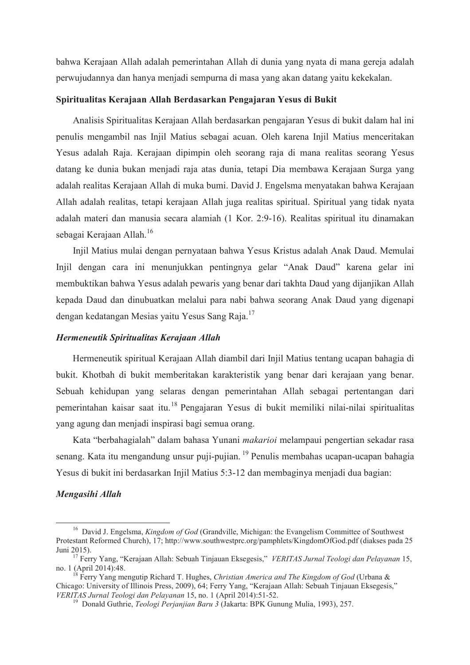bahwa Kerajaan Allah adalah pemerintahan Allah di dunia yang nyata di mana gereja adalah perwujudannya dan hanya menjadi sempurna di masa yang akan datang yaitu kekekalan.

# Spiritualitas Kerajaan Allah Berdasarkan Pengajaran Yesus di Bukit

Analisis Spiritualitas Kerajaan Allah berdasarkan pengajaran Yesus di bukit dalam hal ini penulis mengambil nas Injil Matius sebagai acuan. Oleh karena Injil Matius menceritakan Yesus adalah Raja. Kerajaan dipimpin oleh seorang raja di mana realitas seorang Yesus datang ke dunia bukan menjadi raja atas dunia, tetapi Dia membawa Kerajaan Surga yang adalah realitas Kerajaan Allah di muka bumi. David J. Engelsma menyatakan bahwa Kerajaan Allah adalah realitas, tetapi kerajaan Allah juga realitas spiritual. Spiritual yang tidak nyata adalah materi dan manusia secara alamiah (1 Kor. 2:9-16). Realitas spiritual itu dinamakan sebagai Kerajaan Allah.<sup>16</sup>

Injil Matius mulai dengan pernyataan bahwa Yesus Kristus adalah Anak Daud. Memulai Injil dengan cara ini menunjukkan pentingnya gelar "Anak Daud" karena gelar ini membuktikan bahwa Yesus adalah pewaris yang benar dari takhta Daud yang dijanjikan Allah kepada Daud dan dinubuatkan melalui para nabi bahwa seorang Anak Daud yang digenapi dengan kedatangan Mesias yaitu Yesus Sang Raia.<sup>17</sup>

## Hermeneutik Spiritualitas Kerajaan Allah

Hermeneutik spiritual Kerajaan Allah diambil dari Injil Matius tentang ucapan bahagia di bukit. Khotbah di bukit memberitakan karakteristik yang benar dari kerajaan yang benar. Sebuah kehidupan yang selaras dengan pemerintahan Allah sebagai pertentangan dari pemerintahan kaisar saat itu.<sup>18</sup> Pengajaran Yesus di bukit memiliki nilai-nilai spiritualitas yang agung dan menjadi inspirasi bagi semua orang.

Kata "berbahagialah" dalam bahasa Yunani makarioi melampaui pengertian sekadar rasa senang. Kata itu mengandung unsur puji-pujian. <sup>19</sup> Penulis membahas ucapan-ucapan bahagia Yesus di bukit ini berdasarkan Iniil Matius 5:3-12 dan membaginya menjadi dua bagian:

#### Mengasihi Allah

<sup>&</sup>lt;sup>16</sup> David J. Engelsma, *Kingdom of God* (Grandville, Michigan: the Evangelism Committee of Southwest Protestant Reformed Church), 17; http://www.southwestprc.org/pamphlets/KingdomOfGod.pdf (diakses pada 25) Juni 2015).

<sup>17</sup> Ferry Yang, "Kerajaan Allah: Sebuah Tinjauan Eksegesis," VERITAS Jurnal Teologi dan Pelayanan 15, no. 1 (April 2014):48.

Ferry Yang mengutip Richard T. Hughes, Christian America and The Kingdom of God (Urbana & Chicago: University of Illinois Press, 2009), 64; Ferry Yang, "Kerajaan Allah: Sebuah Tinjauan Eksegesis," VERITAS Jurnal Teologi dan Pelayanan 15, no. 1 (April 2014):51-52.

<sup>&</sup>lt;sup>19</sup> Donald Guthrie, *Teologi Perjanjian Baru 3* (Jakarta: BPK Gunung Mulia, 1993), 257.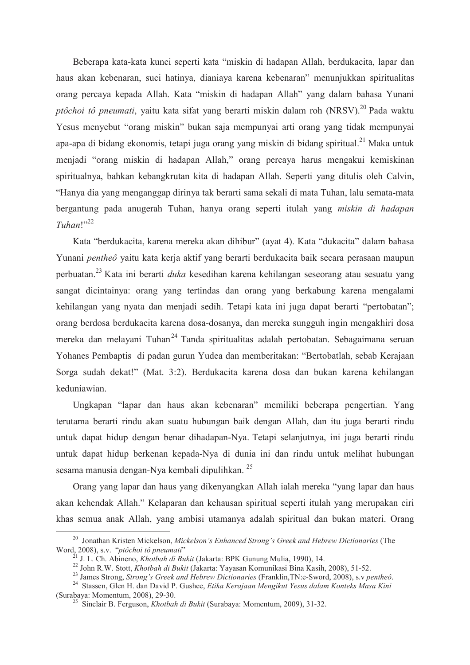Beberapa kata-kata kunci seperti kata "miskin di hadapan Allah, berdukacita, lapar dan haus akan kebenaran, suci hatinya, dianiaya karena kebenaran" menunjukkan spiritualitas orang percaya kepada Allah. Kata "miskin di hadapan Allah" yang dalam bahasa Yunani *ptôchoi tô pneumati*, yaitu kata sifat yang berarti miskin dalam roh (NRSV).<sup>20</sup> Pada waktu Yesus menyebut "orang miskin" bukan saja mempunyai arti orang yang tidak mempunyai apa-apa di bidang ekonomis, tetapi juga orang yang miskin di bidang spiritual.<sup>21</sup> Maka untuk menjadi "orang miskin di hadapan Allah," orang percaya harus mengakui kemiskinan spiritualnya, bahkan kebangkrutan kita di hadapan Allah. Seperti yang ditulis oleh Calvin, "Hanya dia yang menganggap dirinya tak berarti sama sekali di mata Tuhan, lalu semata-mata bergantung pada anugerah Tuhan, hanya orang seperti itulah yang miskin di hadapan  $Tuhan$ <sup>1,22</sup>

Kata "berdukacita, karena mereka akan dihibur" (ayat 4). Kata "dukacita" dalam bahasa Yunani pentheô yaitu kata kerja aktif yang berarti berdukacita baik secara perasaan maupun perbuatan.<sup>23</sup> Kata ini berarti *duka* kesedihan karena kehilangan seseorang atau sesuatu yang sangat dicintainya: orang yang tertindas dan orang yang berkabung karena mengalami kehilangan yang nyata dan menjadi sedih. Tetapi kata ini juga dapat berarti "pertobatan"; orang berdosa berdukacita karena dosa-dosanya, dan mereka sungguh ingin mengakhiri dosa mereka dan melayani Tuhan<sup>24</sup> Tanda spiritualitas adalah pertobatan. Sebagaimana seruan Yohanes Pembaptis di padan gurun Yudea dan memberitakan: "Bertobatlah, sebab Kerajaan Sorga sudah dekat!" (Mat. 3:2). Berdukacita karena dosa dan bukan karena kehilangan keduniawian

Ungkapan "lapar dan haus akan kebenaran" memiliki beberapa pengertian. Yang terutama berarti rindu akan suatu hubungan baik dengan Allah, dan itu juga berarti rindu untuk dapat hidup dengan benar dihadapan-Nya. Tetapi selanjutnya, ini juga berarti rindu untuk dapat hidup berkenan kepada-Nya di dunia ini dan rindu untuk melihat hubungan sesama manusia dengan-Nya kembali dipulihkan. <sup>25</sup>

Orang yang lapar dan haus yang dikenyangkan Allah ialah mereka "yang lapar dan haus akan kehendak Allah." Kelaparan dan kehausan spiritual seperti itulah yang merupakan ciri khas semua anak Allah, yang ambisi utamanya adalah spiritual dan bukan materi. Orang

<sup>&</sup>lt;sup>20</sup> Jonathan Kristen Mickelson, Mickelson's Enhanced Strong's Greek and Hebrew Dictionaries (The Word, 2008), s.v. "ptôchoi tô pneumati"

J. L. Ch. Abineno, Khotbah di Bukit (Jakarta: BPK Gunung Mulia, 1990), 14.

<sup>&</sup>lt;sup>22</sup> John R.W. Stott, *Khotbah di Bukit* (Jakarta: Yayasan Komunikasi Bina Kasih, 2008), 51-52.

<sup>&</sup>lt;sup>23</sup> James Strong, *Strong's Greek and Hebrew Dictionaries* (Franklin, TN:e-Sword, 2008), s.v pentheô.

<sup>&</sup>lt;sup>24</sup> Stassen, Glen H. dan David P. Gushee, Etika Kerajaan Mengikut Yesus dalam Konteks Masa Kini (Surabaya: Momentum, 2008), 29-30.

<sup>&</sup>lt;sup>25</sup> Sinclair B. Ferguson, *Khotbah di Bukit* (Surabaya: Momentum, 2009), 31-32.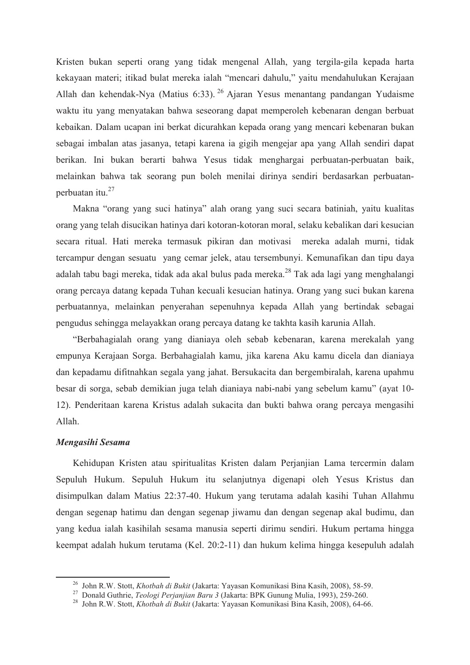Kristen bukan seperti orang yang tidak mengenal Allah, yang tergila-gila kepada harta kekayaan materi; itikad bulat mereka ialah "mencari dahulu," yaitu mendahulukan Kerajaan Allah dan kehendak-Nya (Matius 6:33). <sup>26</sup> Ajaran Yesus menantang pandangan Yudaisme waktu itu yang menyatakan bahwa seseorang dapat memperoleh kebenaran dengan berbuat kebaikan. Dalam ucapan ini berkat dicurahkan kepada orang yang mencari kebenaran bukan sebagai imbalan atas jasanya, tetapi karena ia gigih mengejar apa yang Allah sendiri dapat berikan. Ini bukan berarti bahwa Yesus tidak menghargai perbuatan-perbuatan baik, melainkan bahwa tak seorang pun boleh menilai dirinya sendiri berdasarkan perbuatanperbuatan itu.<sup>27</sup>

Makna "orang yang suci hatinya" alah orang yang suci secara batiniah, yaitu kualitas orang yang telah disucikan hatinya dari kotoran-kotoran moral, selaku kebalikan dari kesucian secara ritual. Hati mereka termasuk pikiran dan motivasi mereka adalah murni, tidak tercampur dengan sesuatu yang cemar jelek, atau tersembunyi. Kemunafikan dan tipu daya adalah tabu bagi mereka, tidak ada akal bulus pada mereka.<sup>28</sup> Tak ada lagi yang menghalangi orang percaya datang kepada Tuhan kecuali kesucian hatinya. Orang yang suci bukan karena perbuatannya, melainkan penyerahan sepenuhnya kepada Allah yang bertindak sebagai pengudus sehingga melayakkan orang percaya datang ke takhta kasih karunia Allah.

"Berbahagialah orang yang dianiaya oleh sebab kebenaran, karena merekalah yang empunya Kerajaan Sorga. Berbahagialah kamu, jika karena Aku kamu dicela dan dianiaya dan kepadamu difitnahkan segala yang jahat. Bersukacita dan bergembiralah, karena upahmu besar di sorga, sebab demikian juga telah dianiaya nabi-nabi yang sebelum kamu" (ayat 10-12). Penderitaan karena Kristus adalah sukacita dan bukti bahwa orang percaya mengasihi  $Allah$ 

#### Mengasihi Sesama

Kehidupan Kristen atau spiritualitas Kristen dalam Perjanjian Lama tercermin dalam Sepuluh Hukum. Sepuluh Hukum itu selanjutnya digenapi oleh Yesus Kristus dan disimpulkan dalam Matius 22:37-40. Hukum yang terutama adalah kasihi Tuhan Allahmu dengan segenap hatimu dan dengan segenap jiwamu dan dengan segenap akal budimu, dan yang kedua ialah kasihilah sesama manusia seperti dirimu sendiri. Hukum pertama hingga keempat adalah hukum terutama (Kel. 20:2-11) dan hukum kelima hingga kesepuluh adalah

<sup>&</sup>lt;sup>26</sup> John R.W. Stott, *Khotbah di Bukit* (Jakarta: Yayasan Komunikasi Bina Kasih, 2008), 58-59.<br><sup>27</sup> Donald Guthrie, *Teologi Perjanjian Baru 3* (Jakarta: BPK Gunung Mulia, 1993), 259-260.

<sup>&</sup>lt;sup>28</sup> John R.W. Stott, Khotbah di Bukit (Jakarta: Yayasan Komunikasi Bina Kasih, 2008), 64-66.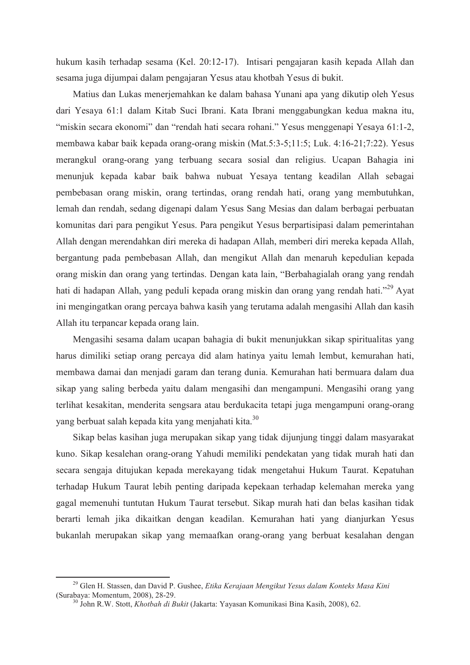hukum kasih terhadap sesama (Kel. 20:12-17). Intisari pengajaran kasih kepada Allah dan sesama juga dijumpai dalam pengajaran Yesus atau khotbah Yesus di bukit.

Matius dan Lukas menerjemahkan ke dalam bahasa Yunani apa yang dikutip oleh Yesus dari Yesaya 61:1 dalam Kitab Suci Ibrani. Kata Ibrani menggabungkan kedua makna itu, "miskin secara ekonomi" dan "rendah hati secara rohani." Yesus menggenapi Yesaya 61:1-2, membawa kabar baik kepada orang-orang miskin (Mat. 5:3-5; 11:5; Luk. 4:16-21; 7:22). Yesus merangkul orang-orang yang terbuang secara sosial dan religius. Ucapan Bahagia ini menunjuk kepada kabar baik bahwa nubuat Yesaya tentang keadilan Allah sebagai pembebasan orang miskin, orang tertindas, orang rendah hati, orang yang membutuhkan, lemah dan rendah, sedang digenapi dalam Yesus Sang Mesias dan dalam berbagai perbuatan komunitas dari para pengikut Yesus. Para pengikut Yesus berpartisipasi dalam pemerintahan Allah dengan merendahkan diri mereka di hadapan Allah, memberi diri mereka kepada Allah, bergantung pada pembebasan Allah, dan mengikut Allah dan menaruh kepedulian kepada orang miskin dan orang yang tertindas. Dengan kata lain, "Berbahagialah orang yang rendah hati di hadapan Allah, yang peduli kepada orang miskin dan orang yang rendah hati."<sup>29</sup> Ayat ini mengingatkan orang percaya bahwa kasih yang terutama adalah mengasihi Allah dan kasih Allah itu terpancar kepada orang lain.

Mengasihi sesama dalam ucapan bahagia di bukit menunjukkan sikap spiritualitas yang harus dimiliki setiap orang percaya did alam hatinya yaitu lemah lembut, kemurahan hati, membawa damai dan menjadi garam dan terang dunia. Kemurahan hati bermuara dalam dua sikap yang saling berbeda yaitu dalam mengasihi dan mengampuni. Mengasihi orang yang terlihat kesakitan, menderita sengsara atau berdukacita tetapi juga mengampuni orang-orang yang berbuat salah kepada kita yang menjahati kita.<sup>30</sup>

Sikap belas kasihan juga merupakan sikap yang tidak dijunjung tinggi dalam masyarakat kuno. Sikap kesalehan orang-orang Yahudi memiliki pendekatan yang tidak murah hati dan secara sengaja ditujukan kepada merekayang tidak mengetahui Hukum Taurat. Kepatuhan terhadap Hukum Taurat lebih penting daripada kepekaan terhadap kelemahan mereka yang gagal memenuhi tuntutan Hukum Taurat tersebut. Sikap murah hati dan belas kasihan tidak berarti lemah jika dikaitkan dengan keadilan. Kemurahan hati yang dianjurkan Yesus bukanlah merupakan sikap yang memaafkan orang-orang yang berbuat kesalahan dengan

<sup>&</sup>lt;sup>29</sup> Glen H. Stassen, dan David P. Gushee, Etika Kerajaan Mengikut Yesus dalam Konteks Masa Kini (Surabaya: Momentum, 2008), 28-29.

<sup>&</sup>lt;sup>30</sup> John R.W. Stott, Khotbah di Bukit (Jakarta: Yayasan Komunikasi Bina Kasih, 2008), 62.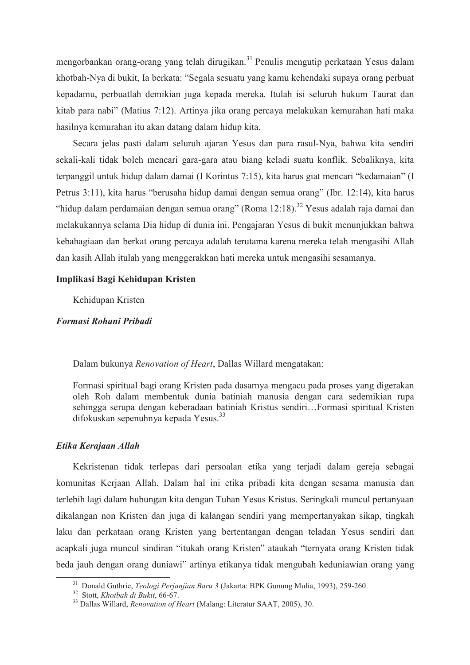mengorbankan orang-orang yang telah dirugikan.<sup>31</sup> Penulis mengutip perkataan Yesus dalam khotbah-Nya di bukit, Ia berkata: "Segala sesuatu yang kamu kehendaki supaya orang perbuat kepadamu, perbuatlah demikian juga kepada mereka. Itulah isi seluruh hukum Taurat dan kitab para nabi" (Matius 7:12). Artinya jika orang percaya melakukan kemurahan hati maka hasilnya kemurahan itu akan datang dalam hidup kita.

Secara jelas pasti dalam seluruh ajaran Yesus dan para rasul-Nya, bahwa kita sendiri sekali-kali tidak boleh mencari gara-gara atau biang keladi suatu konflik. Sebaliknya, kita terpanggil untuk hidup dalam damai (I Korintus 7:15), kita harus giat mencari "kedamaian" (I Petrus 3:11), kita harus "berusaha hidup damai dengan semua orang" (Ibr. 12:14), kita harus "hidup dalam perdamaian dengan semua orang" (Roma 12:18).<sup>32</sup> Yesus adalah raja damai dan melakukannya selama Dia hidup di dunia ini. Pengajaran Yesus di bukit menunjukkan bahwa kebahagiaan dan berkat orang percaya adalah terutama karena mereka telah mengasihi Allah dan kasih Allah itulah yang menggerakkan hati mereka untuk mengasihi sesamanya.

## Implikasi Bagi Kehidupan Kristen

Kehidupan Kristen

## Formasi Rohani Pribadi

Dalam bukunya Renovation of Heart, Dallas Willard mengatakan:

Formasi spiritual bagi orang Kristen pada dasarnya mengacu pada proses yang digerakan oleh Roh dalam membentuk dunia batiniah manusia dengan cara sedemikian rupa sehingga serupa dengan keberadaan batiniah Kristus sendiri...Formasi spiritual Kristen difokuskan sepenuhnya kepada Yesus.<sup>33</sup>

### Etika Kerajaan Allah

Kekristenan tidak terlepas dari persoalan etika yang terjadi dalam gereja sebagai komunitas Kerjaan Allah. Dalam hal ini etika pribadi kita dengan sesama manusia dan terlebih lagi dalam hubungan kita dengan Tuhan Yesus Kristus. Seringkali muncul pertanyaan dikalangan non Kristen dan juga di kalangan sendiri yang mempertanyakan sikap, tingkah laku dan perkataan orang Kristen yang bertentangan dengan teladan Yesus sendiri dan acapkali juga muncul sindiran "itukah orang Kristen" ataukah "ternyata orang Kristen tidak beda jauh dengan orang duniawi" artinya etikanya tidak mengubah keduniawian orang yang

<sup>&</sup>lt;sup>31</sup> Donald Guthrie, Teologi Perjanjian Baru 3 (Jakarta: BPK Gunung Mulia, 1993), 259-260.

<sup>&</sup>lt;sup>32</sup> Stott, *Khotbah di Bukit*, 66-67.

<sup>&</sup>lt;sup>33</sup> Dallas Willard, Renovation of Heart (Malang: Literatur SAAT, 2005), 30.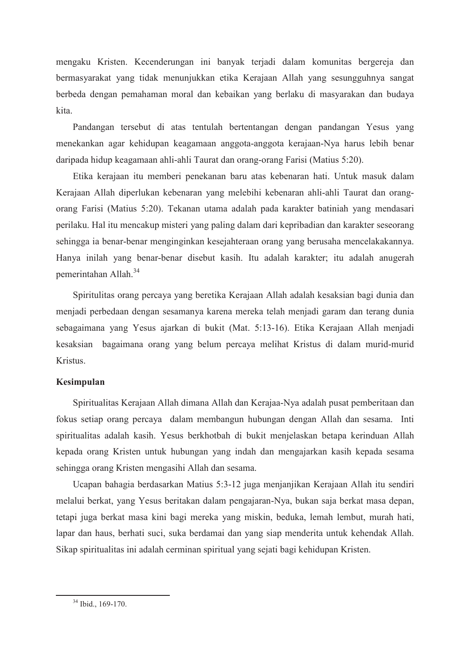mengaku Kristen. Kecenderungan ini banyak terjadi dalam komunitas bergereja dan bermasyarakat yang tidak menunjukkan etika Kerajaan Allah yang sesungguhnya sangat berbeda dengan pemahaman moral dan kebaikan yang berlaku di masyarakan dan budaya kita.

Pandangan tersebut di atas tentulah bertentangan dengan pandangan Yesus yang menekankan agar kehidupan keagamaan anggota-anggota kerajaan-Nya harus lebih benar daripada hidup keagamaan ahli-ahli Taurat dan orang-orang Farisi (Matius 5:20).

Etika kerajaan itu memberi penekanan baru atas kebenaran hati. Untuk masuk dalam Kerajaan Allah diperlukan kebenaran yang melebihi kebenaran ahli-ahli Taurat dan orangorang Farisi (Matius 5:20). Tekanan utama adalah pada karakter batiniah yang mendasari perilaku. Hal itu mencakup misteri yang paling dalam dari kepribadian dan karakter seseorang sehingga ia benar-benar menginginkan kesejahteraan orang yang berusaha mencelakakannya. Hanya inilah yang benar-benar disebut kasih. Itu adalah karakter; itu adalah anugerah pemerintahan Allah<sup>34</sup>

Spiritulitas orang percaya yang beretika Kerajaan Allah adalah kesaksian bagi dunia dan menjadi perbedaan dengan sesamanya karena mereka telah menjadi garam dan terang dunia sebagaimana yang Yesus ajarkan di bukit (Mat. 5:13-16). Etika Kerajaan Allah menjadi kesaksian bagaimana orang yang belum percaya melihat Kristus di dalam murid-murid Kristus.

# Kesimpulan

Spiritualitas Kerajaan Allah dimana Allah dan Kerajaa-Nya adalah pusat pemberitaan dan fokus setiap orang percaya dalam membangun hubungan dengan Allah dan sesama. Inti spiritualitas adalah kasih. Yesus berkhotbah di bukit menjelaskan betapa kerinduan Allah kepada orang Kristen untuk hubungan yang indah dan mengajarkan kasih kepada sesama sehingga orang Kristen mengasihi Allah dan sesama.

Ucapan bahagia berdasarkan Matius 5:3-12 juga menjanjikan Kerajaan Allah itu sendiri melalui berkat, yang Yesus beritakan dalam pengajaran-Nya, bukan saja berkat masa depan, tetapi juga berkat masa kini bagi mereka yang miskin, beduka, lemah lembut, murah hati, lapar dan haus, berhati suci, suka berdamai dan yang siap menderita untuk kehendak Allah. Sikap spiritualitas ini adalah cerminan spiritual yang sejati bagi kehidupan Kristen.

 $34$  Ibid., 169-170.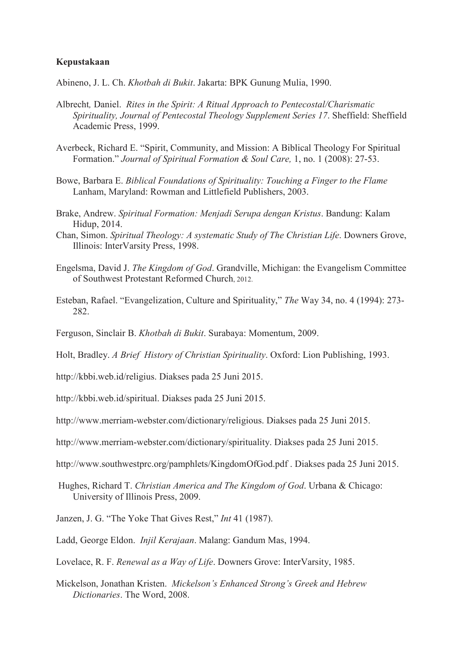## Kepustakaan

Abineno, J. L. Ch. Khotbah di Bukit. Jakarta: BPK Gunung Mulia, 1990.

- Albrecht, Daniel. Rites in the Spirit: A Ritual Approach to Pentecostal/Charismatic Spirituality, Journal of Pentecostal Theology Supplement Series 17. Sheffield: Sheffield Academic Press, 1999.
- Averbeck, Richard E. "Spirit, Community, and Mission: A Biblical Theology For Spiritual Formation." Journal of Spiritual Formation & Soul Care, 1, no. 1 (2008): 27-53.
- Bowe, Barbara E. Biblical Foundations of Spirituality: Touching a Finger to the Flame Lanham, Maryland: Rowman and Littlefield Publishers, 2003.
- Brake, Andrew. Spiritual Formation: Menjadi Serupa dengan Kristus. Bandung: Kalam Hidup, 2014.
- Chan, Simon. Spiritual Theology: A systematic Study of The Christian Life. Downers Grove, Illinois: InterVarsity Press, 1998.
- Engelsma, David J. The Kingdom of God. Grandville, Michigan: the Evangelism Committee of Southwest Protestant Reformed Church, 2012.
- Esteban, Rafael. "Evangelization, Culture and Spirituality," The Way 34, no. 4 (1994): 273-282.
- Ferguson, Sinclair B. Khotbah di Bukit. Surabaya: Momentum, 2009.

Holt, Bradley. A Brief History of Christian Spirituality. Oxford: Lion Publishing, 1993.

- http://kbbi.web.id/religius. Diakses pada 25 Juni 2015.
- http://kbbi.web.id/spiritual. Diakses pada 25 Juni 2015.
- http://www.merriam-webster.com/dictionary/religious. Diakses pada 25 Juni 2015.
- http://www.merriam-webster.com/dictionary/spirituality. Diakses pada 25 Juni 2015.
- http://www.southwestprc.org/pamphlets/KingdomOfGod.pdf. Diakses pada 25 Juni 2015.
- Hughes, Richard T. Christian America and The Kingdom of God. Urbana & Chicago: University of Illinois Press, 2009.
- Janzen, J. G. "The Yoke That Gives Rest," Int 41 (1987).
- Ladd, George Eldon. *Iniil Kerajaan*, Malang: Gandum Mas, 1994.
- Lovelace, R. F. Renewal as a Way of Life. Downers Grove: InterVarsity, 1985.
- Mickelson, Jonathan Kristen. Mickelson's Enhanced Strong's Greek and Hebrew Dictionaries. The Word, 2008.